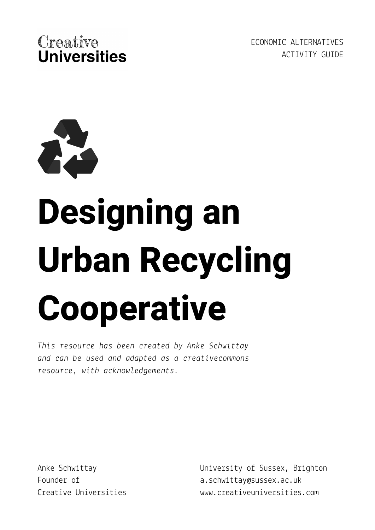

ECONOMIC ALTERNATIVES ACTIVITY GUIDE



# **Designing an Urban Recycling Cooperative**

*This resource has been created by Anke Schwittay and can be used and adapted as a creativecommons resource, with acknowledgements.*

Anke Schwittay Founder of Creative Universities University of Sussex, Brighton a.schwittay@sussex.ac.uk www.creativeuniversities.com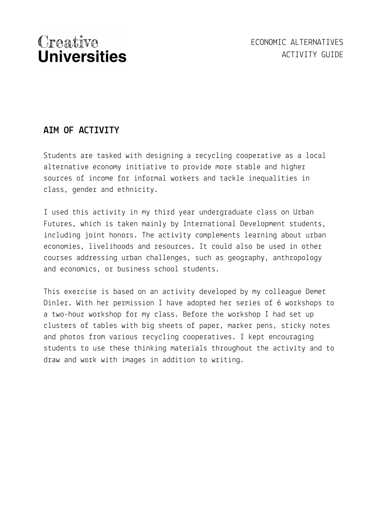#### **AIM OF ACTIVITY**

Students are tasked with designing a recycling cooperative as a local alternative economy initiative to provide more stable and higher sources of income for informal workers and tackle inequalities in class, gender and ethnicity.

I used this activity in my third year undergraduate class on Urban Futures, which is taken mainly by International Development students, including joint honors. The activity complements learning about urban economies, livelihoods and resources. It could also be used in other courses addressing urban challenges, such as geography, anthropology and economics, or business school students.

This exercise is based on an activity developed by my colleague Demet Dinler. With her permission I have adopted her series of 6 workshops to a two-hour workshop for my class. Before the workshop I had set up clusters of tables with big sheets of paper, marker pens, sticky notes and photos from various recycling cooperatives. I kept encouraging students to use these thinking materials throughout the activity and to draw and work with images in addition to writing.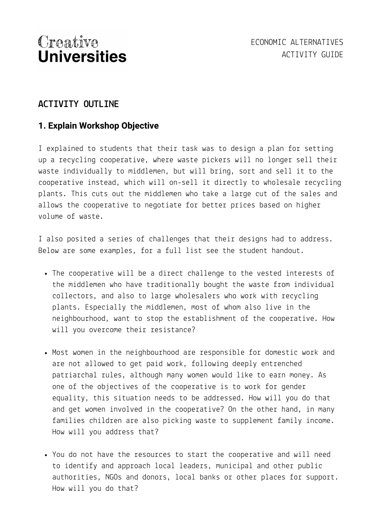#### **ACTIVITY OUTLINE**

#### **1. Explain Workshop Objective**

I explained to students that their task was to design a plan for setting up a recycling cooperative, where waste pickers will no longer sell their waste individually to middlemen, but will bring, sort and sell it to the cooperative instead, which will on-sell it directly to wholesale recycling plants. This cuts out the middlemen who take a large cut of the sales and allows the cooperative to negotiate for better prices based on higher volume of waste.

I also posited a series of challenges that their designs had to address. Below are some examples, for a full list see the student handout.

- The cooperative will be a direct challenge to the vested interests of the middlemen who have traditionally bought the waste from individual collectors, and also to large wholesalers who work with recycling plants. Especially the middlemen, most of whom also live in the neighbourhood, want to stop the establishment of the cooperative. How will you overcome their resistance?
- Most women in the neighbourhood are responsible for domestic work and are not allowed to get paid work, following deeply entrenched patriarchal rules, although many women would like to earn money. As one of the objectives of the cooperative is to work for gender equality, this situation needs to be addressed. How will you do that and get women involved in the cooperative? On the other hand, in many families children are also picking waste to supplement family income. How will you address that?
- You do not have the resources to start the cooperative and will need to identify and approach local leaders, municipal and other public authorities, NGOs and donors, local banks or other places for support. How will you do that?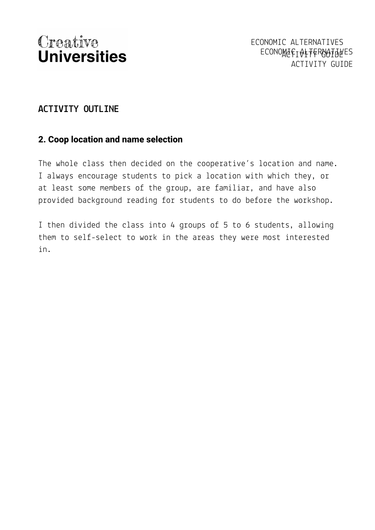#### **ACTIVITY OUTLINE**

#### **2. Coop location and name selection**

The whole class then decided on the cooperative's location and name. I always encourage students to pick a location with which they, or at least some members of the group, are familiar, and have also provided background reading for students to do before the workshop.

I then divided the class into 4 groups of 5 to 6 students, allowing them to self-select to work in the areas they were most interested in.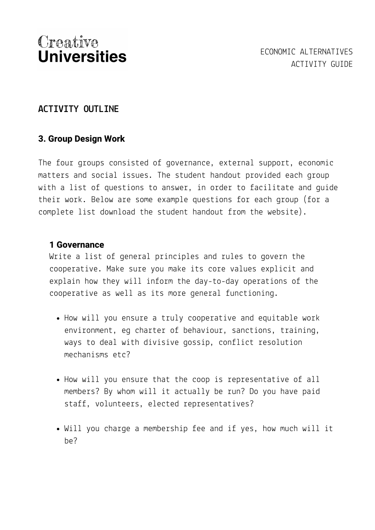#### **ACTIVITY OUTLINE**

#### **3. Group Design Work**

The four groups consisted of governance, external support, economic matters and social issues. The student handout provided each group with a list of questions to answer, in order to facilitate and guide their work. Below are some example questions for each group (for a complete list download the student handout from the website).

#### **1 Governance**

Write a list of general principles and rules to govern the cooperative. Make sure you make its core values explicit and explain how they will inform the day-to-day operations of the cooperative as well as its more general functioning.

- How will you ensure a truly cooperative and equitable work environment, eg charter of behaviour, sanctions, training, ways to deal with divisive gossip, conflict resolution mechanisms etc?
- How will you ensure that the coop is representative of all members? By whom will it actually be run? Do you have paid staff, volunteers, elected representatives?
- Will you charge a membership fee and if yes, how much will it be?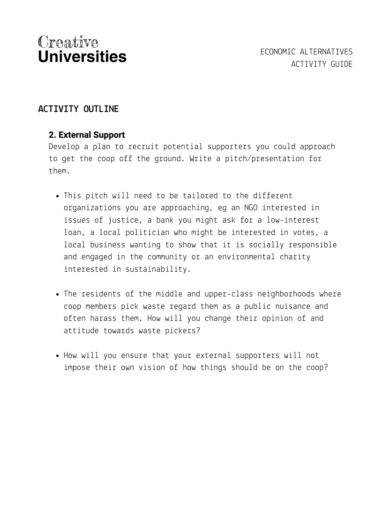#### **ACTIVITY OUTLINE**

#### **2. External Support**

Develop a plan to recruit potential supporters you could approach to get the coop off the ground. Write a pitch/presentation for them.

- This pitch will need to be tailored to the different organizations you are approaching, eg an NGO interested in issues of justice, a bank you might ask for a low-interest loan, a local politician who might be interested in votes, a local business wanting to show that it is socially responsible and engaged in the community or an environmental charity interested in sustainability.
- The residents of the middle and upper-class neighborhoods where coop members pick waste regard them as a public nuisance and often harass them. How will you change their opinion of and attitude towards waste pickers?
- How will you ensure that your external supporters will not impose their own vision of how things should be on the coop?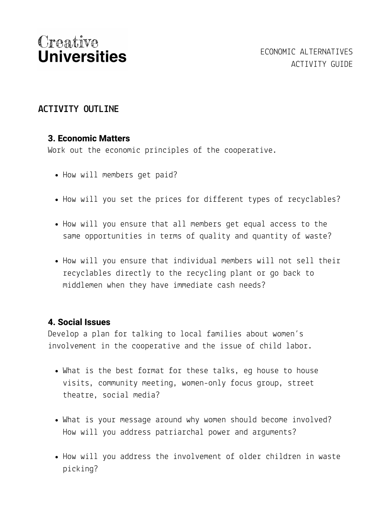#### **ACTIVITY OUTLINE**

#### **3. Economic Matters**

Work out the economic principles of the cooperative.

- How will members get paid?
- How will you set the prices for different types of recyclables?
- How will you ensure that all members get equal access to the same opportunities in terms of quality and quantity of waste?
- How will you ensure that individual members will not sell their recyclables directly to the recycling plant or go back to middlemen when they have immediate cash needs?

#### **4. Social Issues**

Develop a plan for talking to local families about women's involvement in the cooperative and the issue of child labor.

- What is the best format for these talks, eg house to house visits, community meeting, women-only focus group, street theatre, social media?
- What is your message around why women should become involved? How will you address patriarchal power and arguments?
- How will you address the involvement of older children in waste picking?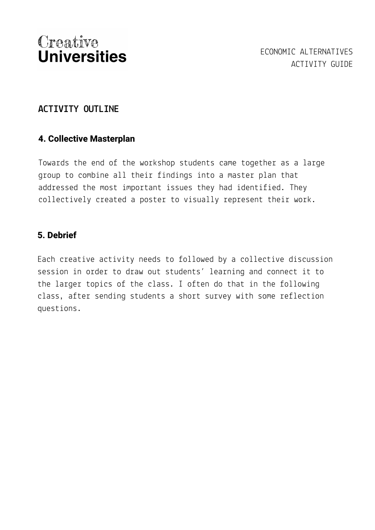#### **ACTIVITY OUTLINE**

#### **4. Collective Masterplan**

Towards the end of the workshop students came together as a large group to combine all their findings into a master plan that addressed the most important issues they had identified. They collectively created a poster to visually represent their work.

#### **5. Debrief**

Each creative activity needs to followed by a collective discussion session in order to draw out students' learning and connect it to the larger topics of the class. I often do that in the following class, after sending students a short survey with some reflection questions.